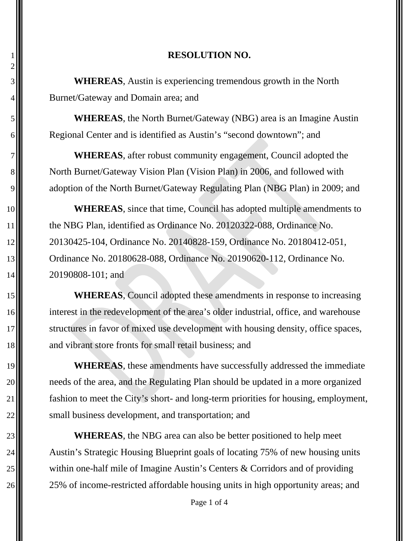## 1 **RESOLUTION NO.**

3 **WHEREAS**, Austin is experiencing tremendous growth in the North  $4 \parallel \parallel$  Burnet/Gateway and Domain area; and

2

5 **WHEREAS**, the North Burnet/Gateway (NBG) area is an Imagine Austin 6 Regional Center and is identified as Austin's "second downtown"; and

7 **WHEREAS**, after robust community engagement, Council adopted the 8 North Burnet/Gateway Vision Plan (Vision Plan) in 2006, and followed with 9. adoption of the North Burnet/Gateway Regulating Plan (NBG Plan) in 2009; and

**WHEREAS**, since that time, Council has adopted multiple amendments to **the NBG Plan, identified as Ordinance No. 20120322-088, Ordinance No.**  20130425-104, Ordinance No. 20140828-159, Ordinance No. 20180412-051, **Ordinance No. 20180628-088, Ordinance No. 20190620-112, Ordinance No.** 14 20190808-101; and

15 **WHEREAS**, Council adopted these amendments in response to increasing 16 interest in the redevelopment of the area's older industrial, office, and warehouse 17 structures in favor of mixed use development with housing density, office spaces, 18 and vibrant store fronts for small retail business; and

**WHEREAS**, these amendments have successfully addressed the immediate needs of the area, and the Regulating Plan should be updated in a more organized  $\parallel$  fashion to meet the City's short- and long-term priorities for housing, employment,  $\parallel$  small business development, and transportation; and

 **WHEREAS**, the NBG area can also be better positioned to help meet  $\parallel$  Austin's Strategic Housing Blueprint goals of locating 75% of new housing units  $\parallel$  within one-half mile of Imagine Austin's Centers & Corridors and of providing 26 25% of income-restricted affordable housing units in high opportunity areas; and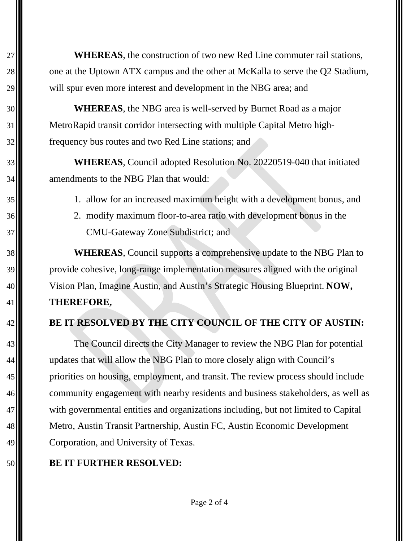**WHEREAS**, the construction of two new Red Line commuter rail stations, 28  $\parallel$  one at the Uptown ATX campus and the other at McKalla to serve the Q2 Stadium, 29 Will spur even more interest and development in the NBG area; and

 **WHEREAS**, the NBG area is well-served by Burnet Road as a major MetroRapid transit corridor intersecting with multiple Capital Metro high-**f**requency bus routes and two Red Line stations; and

 **WHEREAS**, Council adopted Resolution No. 20220519-040 that initiated amendments to the NBG Plan that would:

- 1. allow for an increased maximum height with a development bonus, and
- 2. modify maximum floor-to-area ratio with development bonus in the **CMU-Gateway Zone Subdistrict; and**

 **WHEREAS**, Council supports a comprehensive update to the NBG Plan to provide cohesive, long-range implementation measures aligned with the original Vision Plan, Imagine Austin, and Austin's Strategic Housing Blueprint. **NOW, THEREFORE,**

## **BE IT RESOLVED BY THE CITY COUNCIL OF THE CITY OF AUSTIN:**

 The Council directs the City Manager to review the NBG Plan for potential updates that will allow the NBG Plan to more closely align with Council's **priorities on housing, employment, and transit. The review process should include**  $\blacksquare$  community engagement with nearby residents and business stakeholders, as well as 47 With governmental entities and organizations including, but not limited to Capital Metro, Austin Transit Partnership, Austin FC, Austin Economic Development **Corporation**, and University of Texas.

## **BE IT FURTHER RESOLVED:**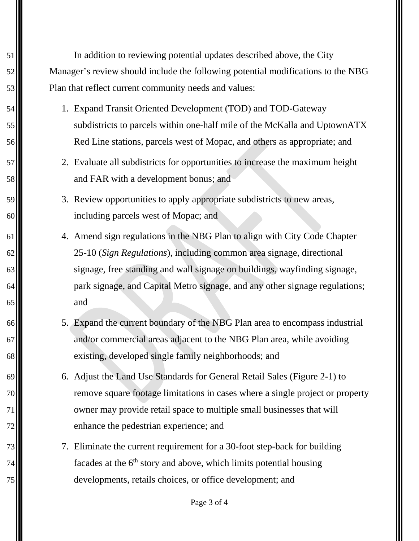In addition to reviewing potential updates described above, the City Manager's review should include the following potential modifications to the NBG Plan that reflect current community needs and values:

- 1. Expand Transit Oriented Development (TOD) and TOD-Gateway 55  $\parallel$  subdistricts to parcels within one-half mile of the McKalla and UptownATX Red Line stations, parcels west of Mopac, and others as appropriate; and
- 2. Evaluate all subdistricts for opportunities to increase the maximum height **1 b** and FAR with a development bonus; and
- 3. Review opportunities to apply appropriate subdistricts to new areas, including parcels west of Mopac; and
- 4. Amend sign regulations in the NBG Plan to align with City Code Chapter 25-10 (*Sign Regulations*), including common area signage, directional 63. signage, free standing and wall signage on buildings, wayfinding signage, 64 || park signage, and Capital Metro signage, and any other signage regulations; and and
- 5. Expand the current boundary of the NBG Plan area to encompass industrial and/or commercial areas adjacent to the NBG Plan area, while avoiding 68  $\blacksquare$  existing, developed single family neighborhoods; and
- 6. Adjust the Land Use Standards for General Retail Sales (Figure 2-1) to remove square footage limitations in cases where a single project or property 71  $\parallel$  owner may provide retail space to multiple small businesses that will enhance the pedestrian experience; and
- 7. Eliminate the current requirement for a 30-foot step-back for building 74 $\parallel$  facades at the 6<sup>th</sup> story and above, which limits potential housing developments, retails choices, or office development; and